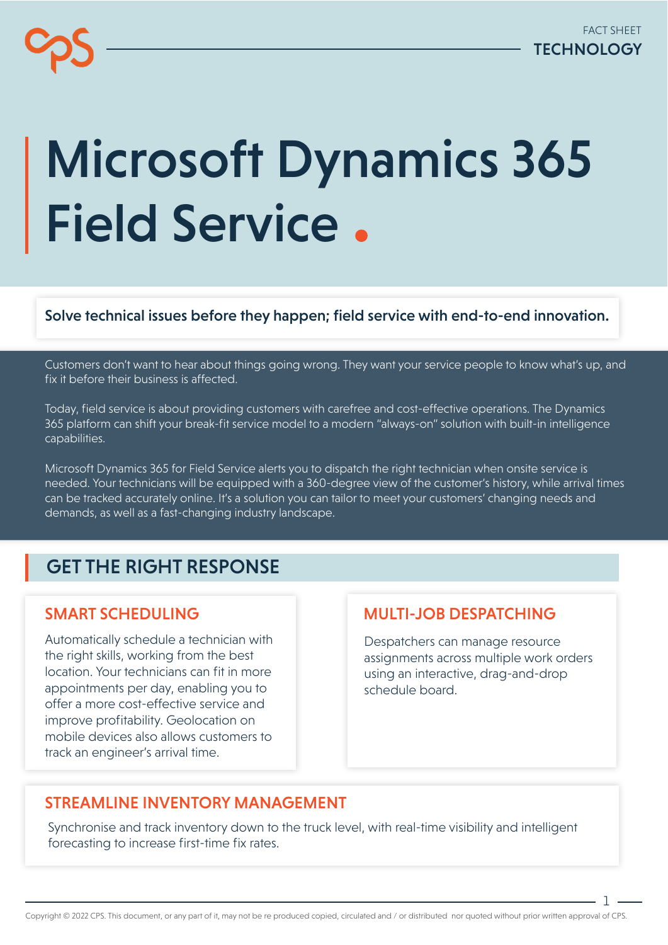# Microsoft Dynamics 365 Field Service.

#### Solve technical issues before they happen; field service with end-to-end innovation.

Customers don't want to hear about things going wrong. They want your service people to know what's up, and fix it before their business is affected.

Today, field service is about providing customers with carefree and cost-effective operations. The Dynamics 365 platform can shift your break-fit service model to a modern "always-on" solution with built-in intelligence capabilities.

Microsoft Dynamics 365 for Field Service alerts you to dispatch the right technician when onsite service is needed. Your technicians will be equipped with a 360-degree view of the customer's history, while arrival times can be tracked accurately online. It's a solution you can tailor to meet your customers' changing needs and demands, as well as a fast-changing industry landscape.

## GET THE RIGHT RESPONSE

## SMART SCHEDULING

Automatically schedule a technician with the right skills, working from the best location. Your technicians can fit in more appointments per day, enabling you to offer a more cost-effective service and improve profitability. Geolocation on mobile devices also allows customers to track an engineer's arrival time.

## MULTI-JOB DESPATCHING

Despatchers can manage resource assignments across multiple work orders using an interactive, drag-and-drop schedule board.

## STREAMLINE INVENTORY MANAGEMENT

Synchronise and track inventory down to the truck level, with real-time visibility and intelligent forecasting to increase first-time fix rates.

. 1 –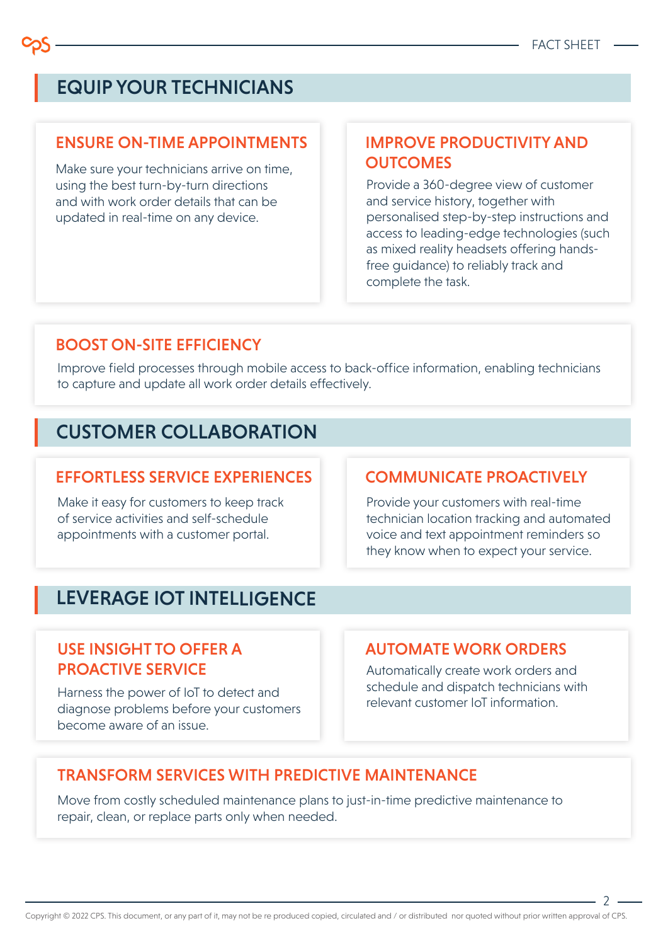## EQUIP YOUR TECHNICIANS

#### ENSURE ON-TIME APPOINTMENTS

Make sure your technicians arrive on time, using the best turn-by-turn directions and with work order details that can be updated in real-time on any device.

## IMPROVE PRODUCTIVITY AND **OUTCOMES**

Provide a 360-degree view of customer and service history, together with personalised step-by-step instructions and access to leading-edge technologies (such as mixed reality headsets offering handsfree guidance) to reliably track and complete the task.

## BOOST ON-SITE EFFICIENCY

Improve field processes through mobile access to back-office information, enabling technicians to capture and update all work order details effectively.

## CUSTOMER COLLABORATION

#### EFFORTLESS SERVICE EXPERIENCES

Make it easy for customers to keep track of service activities and self-schedule appointments with a customer portal.

## COMMUNICATE PROACTIVELY

Provide your customers with real-time technician location tracking and automated voice and text appointment reminders so they know when to expect your service.

## LEVERAGE IOT INTELLIGENCE

## USE INSIGHT TO OFFER A **PROACTIVE SERVICE** Automatically create work orders and

Harness the power of IoT to detect and diagnose problems before your customers become aware of an issue.

#### AUTOMATE WORK ORDERS

schedule and dispatch technicians with relevant customer IoT information.

## TRANSFORM SERVICES WITH PREDICTIVE MAINTENANCE

Move from costly scheduled maintenance plans to just-in-time predictive maintenance to repair, clean, or replace parts only when needed.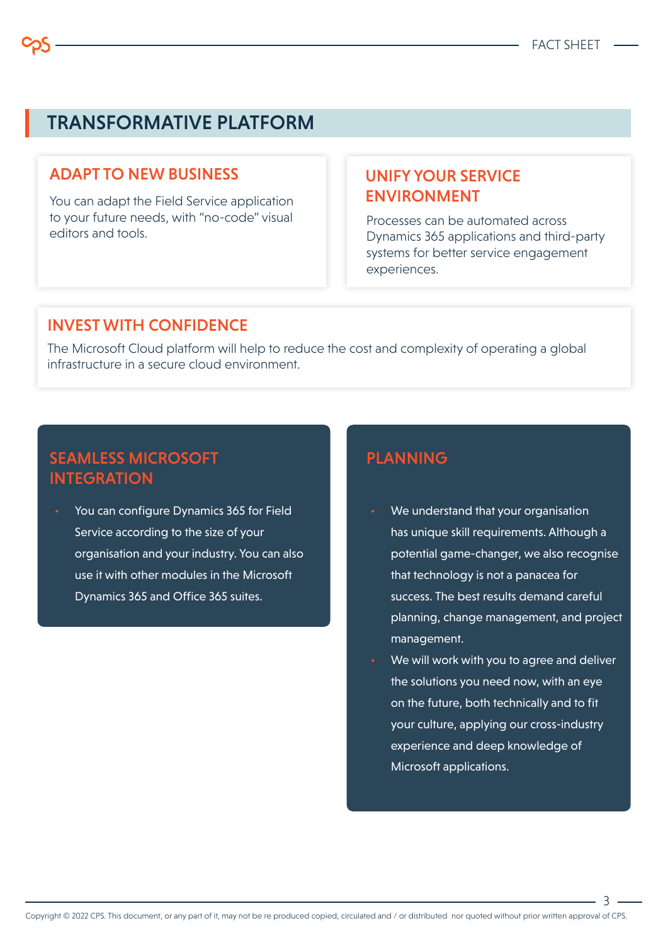## TRANSFORMATIVE PLATFORM

#### ADAPT TO NEW BUSINESS

You can adapt the Field Service application to your future needs, with "no-code" visual editors and tools.

## UNIFY YOUR SERVICE ENVIRONMENT

Processes can be automated across Dynamics 365 applications and third-party systems for better service engagement experiences.

#### INVEST WITH CONFIDENCE

The Microsoft Cloud platform will help to reduce the cost and complexity of operating a global infrastructure in a secure cloud environment.

## SEAMLESS MICROSOFT **INTEGRATION**

• You can configure Dynamics 365 for Field Service according to the size of your organisation and your industry. You can also use it with other modules in the Microsoft Dynamics 365 and Office 365 suites.

## PLANNING

- We understand that your organisation has unique skill requirements. Although a potential game-changer, we also recognise that technology is not a panacea for success. The best results demand careful planning, change management, and project management.
- We will work with you to agree and deliver the solutions you need now, with an eye on the future, both technically and to fit your culture, applying our cross-industry experience and deep knowledge of Microsoft applications.

. २